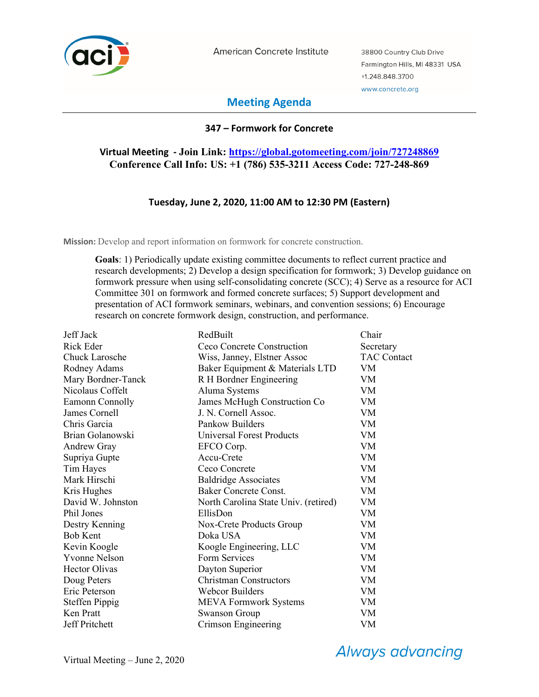

American Concrete Institute

38800 Country Club Drive Farmington Hills, MI 48331 USA +1.248.848.3700 www.concrete.org

# **Meeting Agenda**

### **347 – Formwork for Concrete**

## **Virtual Meeting - Join Link: https://global.gotomeeting.com/join/727248869 Conference Call Info: US: +1 (786) 535-3211 Access Code: 727-248-869**

### **Tuesday, June 2, 2020, 11:00 AM to 12:30 PM (Eastern)**

**Mission:** Develop and report information on formwork for concrete construction.

**Goals**: 1) Periodically update existing committee documents to reflect current practice and research developments; 2) Develop a design specification for formwork; 3) Develop guidance on formwork pressure when using self-consolidating concrete (SCC); 4) Serve as a resource for ACI Committee 301 on formwork and formed concrete surfaces; 5) Support development and presentation of ACI formwork seminars, webinars, and convention sessions; 6) Encourage research on concrete formwork design, construction, and performance.

| Jeff Jack             | RedBuilt                             | Chair              |
|-----------------------|--------------------------------------|--------------------|
| Rick Eder             | Ceco Concrete Construction           | Secretary          |
| Chuck Larosche        | Wiss, Janney, Elstner Assoc          | <b>TAC Contact</b> |
| Rodney Adams          | Baker Equipment & Materials LTD      | VM                 |
| Mary Bordner-Tanck    | R H Bordner Engineering              | VM                 |
| Nicolaus Coffelt      | Aluma Systems                        | VM                 |
| Eamonn Connolly       | James McHugh Construction Co         | VM                 |
| James Cornell         | J. N. Cornell Assoc.                 | VM                 |
| Chris Garcia          | Pankow Builders                      | VM                 |
| Brian Golanowski      | <b>Universal Forest Products</b>     | <b>VM</b>          |
| Andrew Gray           | EFCO Corp.                           | VM                 |
| Supriya Gupte         | Accu-Crete                           | VM                 |
| Tim Hayes             | Ceco Concrete                        | VM                 |
| Mark Hirschi          | <b>Baldridge Associates</b>          | <b>VM</b>          |
| Kris Hughes           | <b>Baker Concrete Const.</b>         | VM                 |
| David W. Johnston     | North Carolina State Univ. (retired) | VM                 |
| Phil Jones            | EllisDon                             | VM                 |
| Destry Kenning        | Nox-Crete Products Group             | VM                 |
| <b>Bob Kent</b>       | Doka USA                             | VM                 |
| Kevin Koogle          | Koogle Engineering, LLC              | <b>VM</b>          |
| <b>Yvonne Nelson</b>  | Form Services                        | VM                 |
| <b>Hector Olivas</b>  | Dayton Superior                      | <b>VM</b>          |
| Doug Peters           | <b>Christman Constructors</b>        | VM                 |
| Eric Peterson         | Webcor Builders                      | <b>VM</b>          |
| <b>Steffen Pippig</b> | <b>MEVA Formwork Systems</b>         | VM                 |
| Ken Pratt             | <b>Swanson Group</b>                 | VM                 |
| Jeff Pritchett        | Crimson Engineering                  | VM                 |